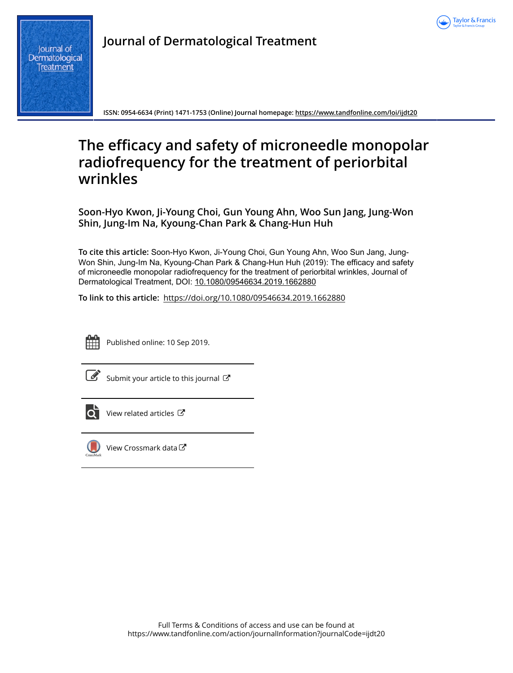

**Journal of Dermatological Treatment**

**ISSN: 0954-6634 (Print) 1471-1753 (Online) Journal homepage:<https://www.tandfonline.com/loi/ijdt20>**

# **The efficacy and safety of microneedle monopolar radiofrequency for the treatment of periorbital wrinkles**

**Soon-Hyo Kwon, Ji-Young Choi, Gun Young Ahn, Woo Sun Jang, Jung-Won Shin, Jung-Im Na, Kyoung-Chan Park & Chang-Hun Huh**

**To cite this article:** Soon-Hyo Kwon, Ji-Young Choi, Gun Young Ahn, Woo Sun Jang, Jung-Won Shin, Jung-Im Na, Kyoung-Chan Park & Chang-Hun Huh (2019): The efficacy and safety of microneedle monopolar radiofrequency for the treatment of periorbital wrinkles, Journal of Dermatological Treatment, DOI: [10.1080/09546634.2019.1662880](https://www.tandfonline.com/action/showCitFormats?doi=10.1080/09546634.2019.1662880)

**To link to this article:** <https://doi.org/10.1080/09546634.2019.1662880>



Published online: 10 Sep 2019.

[Submit your article to this journal](https://www.tandfonline.com/action/authorSubmission?journalCode=ijdt20&show=instructions)  $\mathbb{Z}$ 



 $\overrightarrow{Q}$  [View related articles](https://www.tandfonline.com/doi/mlt/10.1080/09546634.2019.1662880)  $\overrightarrow{C}$ 



 $\bigcirc$  [View Crossmark data](http://crossmark.crossref.org/dialog/?doi=10.1080/09546634.2019.1662880&domain=pdf&date_stamp=2019-09-10) $\mathbb{Z}$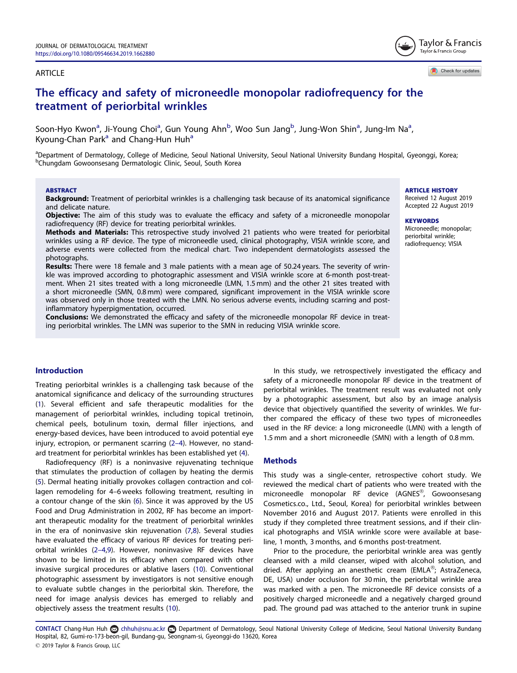#### <span id="page-1-0"></span>ARTICLE

Check for updates

Taylor & Francis Taylor & Francis Group

# The efficacy and safety of microneedle monopolar radiofrequency for the treatment of periorbital wrinkles

Soon-Hyo Kwon<sup>a</sup>, Ji-Young Choi<sup>a</sup>, Gun Young Ahn<sup>b</sup>, Woo Sun Jang<sup>b</sup>, Jung-Won Shin<sup>a</sup>, Jung-Im Na<sup>a</sup>, Kyoung-Chan Park<sup>a</sup> and Chang-Hun Huh<sup>a</sup>

<sup>a</sup>Department of Dermatology, College of Medicine, Seoul National University, Seoul National University Bundang Hospital, Gyeonggi, Korea; b Chungdam Gowoonsesang Dermatologic Clinic, Seoul, South Korea

#### **ABSTRACT**

Background: Treatment of periorbital wrinkles is a challenging task because of its anatomical significance and delicate nature.

Objective: The aim of this study was to evaluate the efficacy and safety of a microneedle monopolar radiofrequency (RF) device for treating periorbital wrinkles.

Methods and Materials: This retrospective study involved 21 patients who were treated for periorbital wrinkles using a RF device. The type of microneedle used, clinical photography, VISIA wrinkle score, and adverse events were collected from the medical chart. Two independent dermatologists assessed the photographs.

Results: There were 18 female and 3 male patients with a mean age of 50.24 years. The severity of wrinkle was improved according to photographic assessment and VISIA wrinkle score at 6-month post-treatment. When 21 sites treated with a long microneedle (LMN, 1.5 mm) and the other 21 sites treated with a short microneedle (SMN, 0.8 mm) were compared, significant improvement in the VISIA wrinkle score was observed only in those treated with the LMN. No serious adverse events, including scarring and postinflammatory hyperpigmentation, occurred.

Conclusions: We demonstrated the efficacy and safety of the microneedle monopolar RF device in treating periorbital wrinkles. The LMN was superior to the SMN in reducing VISIA wrinkle score.

### Introduction

Treating periorbital wrinkles is a challenging task because of the anatomical significance and delicacy of the surrounding structures [\(1](#page-5-0)). Several efficient and safe therapeutic modalities for the management of periorbital wrinkles, including topical tretinoin, chemical peels, botulinum toxin, dermal filler injections, and energy-based devices, have been introduced to avoid potential eye injury, ectropion, or permanent scarring (2–[4\)](#page-5-0). However, no standard treatment for periorbital wrinkles has been established yet ([4](#page-5-0)).

Radiofrequency (RF) is a noninvasive rejuvenating technique that stimulates the production of collagen by heating the dermis [\(5](#page-5-0)). Dermal heating initially provokes collagen contraction and collagen remodeling for 4–6 weeks following treatment, resulting in a contour change of the skin ([6\)](#page-5-0). Since it was approved by the US Food and Drug Administration in 2002, RF has become an important therapeutic modality for the treatment of periorbital wrinkles in the era of noninvasive skin rejuvenation ([7,8\)](#page-5-0). Several studies have evaluated the efficacy of various RF devices for treating periorbital wrinkles (2–[4,9](#page-5-0)). However, noninvasive RF devices have shown to be limited in its efficacy when compared with other invasive surgical procedures or ablative lasers [\(10\)](#page-5-0). Conventional photographic assessment by investigators is not sensitive enough to evaluate subtle changes in the periorbital skin. Therefore, the need for image analysis devices has emerged to reliably and objectively assess the treatment results [\(10\)](#page-5-0).

In this study, we retrospectively investigated the efficacy and safety of a microneedle monopolar RF device in the treatment of periorbital wrinkles. The treatment result was evaluated not only by a photographic assessment, but also by an image analysis device that objectively quantified the severity of wrinkles. We further compared the efficacy of these two types of microneedles used in the RF device: a long microneedle (LMN) with a length of 1.5 mm and a short microneedle (SMN) with a length of 0.8 mm.

# **Methods**

This study was a single-center, retrospective cohort study. We reviewed the medical chart of patients who were treated with the microneedle monopolar RF device (AGNES $^{\circledR}$ , Gowoonsesang Cosmetics.co., Ltd., Seoul, Korea) for periorbital wrinkles between November 2016 and August 2017. Patients were enrolled in this study if they completed three treatment sessions, and if their clinical photographs and VISIA wrinkle score were available at baseline, 1 month, 3 months, and 6 months post-treatment.

Prior to the procedure, the periorbital wrinkle area was gently cleansed with a mild cleanser, wiped with alcohol solution, and dried. After applying an anesthetic cream (EMLA®; AstraZeneca, DE, USA) under occlusion for 30 min, the periorbital wrinkle area was marked with a pen. The microneedle RF device consists of a positively charged microneedle and a negatively charged ground pad. The ground pad was attached to the anterior trunk in supine

CONTACT Chang-Hun Huh @ chhuh@snu.ac.kr @ Department of Dermatology, Seoul National University College of Medicine, Seoul National University Bundang Hospital, 82, Gumi-ro-173-beon-gil, Bundang-gu, Seongnam-si, Gyeonggi-do 13620, Korea 2019 Taylor & Francis Group, LLC

ARTICLE HISTORY Received 12 August 2019

Accepted 22 August 2019

# **KEYWORDS**

#### Microneedle; monopolar; periorbital wrinkle; radiofrequency; VISIA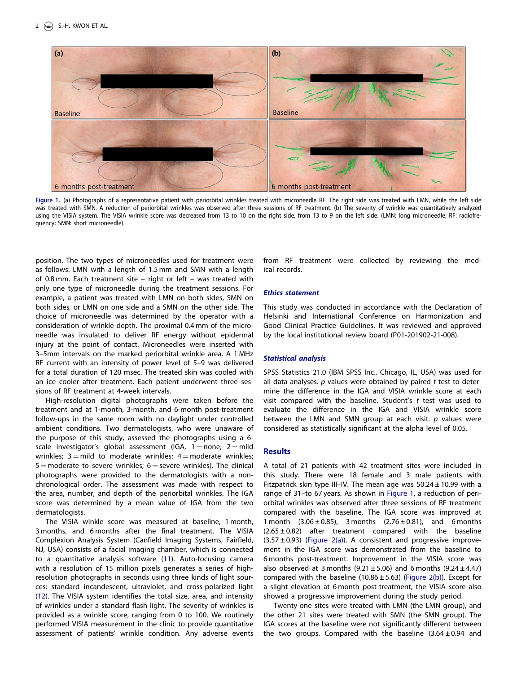<span id="page-2-0"></span>

Figure 1. (a) Photographs of a representative patient with periorbital wrinkles treated with microneedle RF. The right side was treated with LMN, while the left side was treated with SMN. A reduction of periorbital wrinkles was observed after three sessions of RF treatment. (b) The severity of wrinkle was quantitatively analyzed using the VISIA system. The VISIA wrinkle score was decreased from 13 to 10 on the right side, from 13 to 9 on the left side. (LMN: long microneedle; RF: radiofrequency; SMN: short microneedle).

position. The two types of microneedles used for treatment were as follows: LMN with a length of 1.5 mm and SMN with a length of 0.8 mm. Each treatment site – right or left – was treated with only one type of microneedle during the treatment sessions. For example, a patient was treated with LMN on both sides, SMN on both sides, or LMN on one side and a SMN on the other side. The choice of microneedle was determined by the operator with a consideration of wrinkle depth. The proximal 0.4 mm of the microneedle was insulated to deliver RF energy without epidermal injury at the point of contact. Microneedles were inserted with 3–5mm intervals on the marked periorbital wrinkle area. A 1 MHz RF current with an intensity of power level of 5–9 was delivered for a total duration of 120 msec. The treated skin was cooled with an ice cooler after treatment. Each patient underwent three sessions of RF treatment at 4-week intervals.

High-resolution digital photographs were taken before the treatment and at 1-month, 3-month, and 6-month post-treatment follow-ups in the same room with no daylight under controlled ambient conditions. Two dermatologists, who were unaware of the purpose of this study, assessed the photographs using a 6 scale investigator's global assessment (IGA,  $1 =$  none; 2  $=$  mild wrinkles;  $3 =$  mild to moderate wrinkles;  $4 =$  moderate wrinkles;  $5 =$  moderate to severe wrinkles;  $6 =$  severe wrinkles). The clinical photographs were provided to the dermatologists with a nonchronological order. The assessment was made with respect to the area, number, and depth of the periorbital wrinkles. The IGA score was determined by a mean value of IGA from the two dermatologists.

The VISIA winkle score was measured at baseline, 1 month, 3 months, and 6 months after the final treatment. The VISIA Complexion Analysis System (Canfield Imaging Systems, Fairfield, NJ, USA) consists of a facial imaging chamber, which is connected to a quantitative analysis software ([11\)](#page-5-0). Auto-focusing camera with a resolution of 15 million pixels generates a series of highresolution photographs in seconds using three kinds of light sources: standard incandescent, ultraviolet, and cross-polarized light [\(12\)](#page-5-0). The VISIA system identifies the total size, area, and intensity of wrinkles under a standard flash light. The severity of wrinkles is provided as a wrinkle score, ranging from 0 to 100. We routinely performed VISIA measurement in the clinic to provide quantitative assessment of patients' wrinkle condition. Any adverse events from RF treatment were collected by reviewing the medical records.

#### Ethics statement

This study was conducted in accordance with the Declaration of Helsinki and International Conference on Harmonization and Good Clinical Practice Guidelines. It was reviewed and approved by the local institutional review board (P01-201902-21-008).

#### Statistical analysis

SPSS Statistics 21.0 (IBM SPSS Inc., Chicago, IL, USA) was used for all data analyses.  $p$  values were obtained by paired  $t$  test to determine the difference in the IGA and VISIA wrinkle score at each visit compared with the baseline. Student's  $t$  test was used to evaluate the difference in the IGA and VISIA wrinkle score between the LMN and SMN group at each visit.  $p$  values were considered as statistically significant at the alpha level of 0.05.

#### **Results**

A total of 21 patients with 42 treatment sites were included in this study. There were 18 female and 3 male patients with Fitzpatrick skin type III–IV. The mean age was  $50.24 \pm 10.99$  with a range of 31–to 67 years. As shown in Figure 1, a reduction of periorbital wrinkles was observed after three sessions of RF treatment compared with the baseline. The IGA score was improved at 1 month  $(3.06 \pm 0.85)$ , 3 months  $(2.76 \pm 0.81)$ , and 6 months  $(2.65 \pm 0.82)$  after treatment compared with the baseline  $(3.57 \pm 0.93)$  ([Figure 2\(a\)\)](#page-3-0). A consistent and progressive improvement in the IGA score was demonstrated from the baseline to 6 months post-treatment. Improvement in the VISIA score was also observed at 3 months  $(9.21 \pm 5.06)$  and 6 months  $(9.24 \pm 4.47)$ compared with the baseline (10.86  $\pm$  5.63) ([Figure 2\(b\)\)](#page-3-0). Except for a slight elevation at 6 month post-treatment, the VISIA score also showed a progressive improvement during the study period.

Twenty-one sites were treated with LMN (the LMN group), and the other 21 sites were treated with SMN (the SMN group). The IGA scores at the baseline were not significantly different between the two groups. Compared with the baseline  $(3.64 \pm 0.94$  and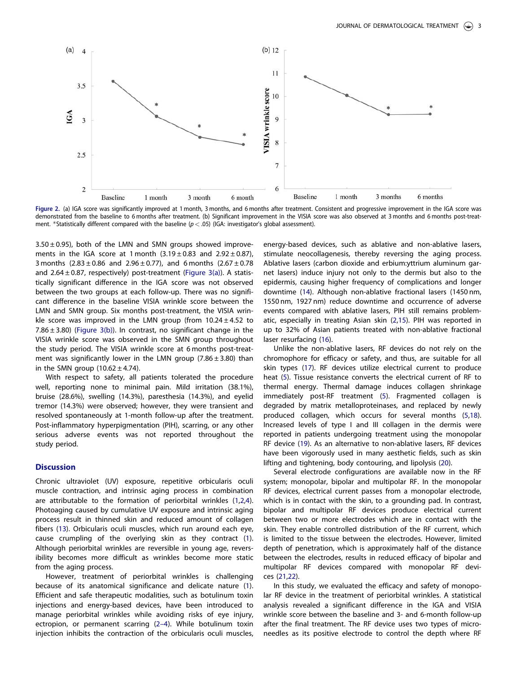<span id="page-3-0"></span>

Figure 2. (a) IGA score was significantly improved at 1 month, 3 months, and 6 months after treatment. Consistent and progressive improvement in the IGA score was demonstrated from the baseline to 6 months after treatment. (b) Significant improvement in the VISIA score was also observed at 3 months and 6 months post-treatment. \*Statistically different compared with the baseline  $(p < .05)$  (IGA: investigator's global assessment).

 $3.50 \pm 0.95$ ), both of the LMN and SMN groups showed improvements in the IGA score at 1 month  $(3.19 \pm 0.83$  and  $2.92 \pm 0.87)$ , 3 months  $(2.83 \pm 0.86$  and  $2.96 \pm 0.77)$ , and 6 months  $(2.67 \pm 0.78)$ and  $2.64 \pm 0.87$ , respectively) post-treatment [\(Figure 3\(a\)\)](#page-4-0). A statistically significant difference in the IGA score was not observed between the two groups at each follow-up. There was no significant difference in the baseline VISIA wrinkle score between the LMN and SMN group. Six months post-treatment, the VISIA wrinkle score was improved in the LMN group (from  $10.24 \pm 4.52$  to 7.86  $\pm$  3.80) [\(Figure 3\(b\)\)](#page-4-0). In contrast, no significant change in the VISIA wrinkle score was observed in the SMN group throughout the study period. The VISIA wrinkle score at 6 months post-treatment was significantly lower in the LMN group  $(7.86 \pm 3.80)$  than in the SMN group  $(10.62 \pm 4.74)$ .

With respect to safety, all patients tolerated the procedure well, reporting none to minimal pain. Mild irritation (38.1%), bruise (28.6%), swelling (14.3%), paresthesia (14.3%), and eyelid tremor (14.3%) were observed; however, they were transient and resolved spontaneously at 1-month follow-up after the treatment. Post-inflammatory hyperpigmentation (PIH), scarring, or any other serious adverse events was not reported throughout the study period.

#### **Discussion**

Chronic ultraviolet (UV) exposure, repetitive orbicularis oculi muscle contraction, and intrinsic aging process in combination are attributable to the formation of periorbital wrinkles ([1,2,4](#page-5-0)). Photoaging caused by cumulative UV exposure and intrinsic aging process result in thinned skin and reduced amount of collagen fibers ([13](#page-5-0)). Orbicularis oculi muscles, which run around each eye, cause crumpling of the overlying skin as they contract ([1](#page-5-0)). Although periorbital wrinkles are reversible in young age, reversibility becomes more difficult as wrinkles become more static from the aging process.

However, treatment of periorbital wrinkles is challenging because of its anatomical significance and delicate nature ([1](#page-5-0)). Efficient and safe therapeutic modalities, such as botulinum toxin injections and energy-based devices, have been introduced to manage periorbital wrinkles while avoiding risks of eye injury, ectropion, or permanent scarring [\(2](#page-5-0)–4). While botulinum toxin injection inhibits the contraction of the orbicularis oculi muscles,

energy-based devices, such as ablative and non-ablative lasers, stimulate neocollagenesis, thereby reversing the aging process. Ablative lasers (carbon dioxide and erbium:yttrium aluminum garnet lasers) induce injury not only to the dermis but also to the epidermis, causing higher frequency of complications and longer downtime [\(14](#page-5-0)). Although non-ablative fractional lasers (1450 nm, 1550 nm, 1927 nm) reduce downtime and occurrence of adverse events compared with ablative lasers, PIH still remains problematic, especially in treating Asian skin [\(2,15\)](#page-5-0). PIH was reported in up to 32% of Asian patients treated with non-ablative fractional laser resurfacing ([16](#page-5-0)).

Unlike the non-ablative lasers, RF devices do not rely on the chromophore for efficacy or safety, and thus, are suitable for all skin types ([17\)](#page-5-0). RF devices utilize electrical current to produce heat ([5](#page-5-0)). Tissue resistance converts the electrical current of RF to thermal energy. Thermal damage induces collagen shrinkage immediately post-RF treatment ([5](#page-5-0)). Fragmented collagen is degraded by matrix metalloproteinases, and replaced by newly produced collagen, which occurs for several months [\(5](#page-5-0),[18](#page-5-0)). Increased levels of type I and III collagen in the dermis were reported in patients undergoing treatment using the monopolar RF device ([19\)](#page-5-0). As an alternative to non-ablative lasers, RF devices have been vigorously used in many aesthetic fields, such as skin lifting and tightening, body contouring, and lipolysis ([20\)](#page-5-0).

Several electrode configurations are available now in the RF system; monopolar, bipolar and multipolar RF. In the monopolar RF devices, electrical current passes from a monopolar electrode, which is in contact with the skin, to a grounding pad. In contrast, bipolar and multipolar RF devices produce electrical current between two or more electrodes which are in contact with the skin. They enable controlled distribution of the RF current, which is limited to the tissue between the electrodes. However, limited depth of penetration, which is approximately half of the distance between the electrodes, results in reduced efficacy of bipolar and multipolar RF devices compared with monopolar RF devices [\(21,22\)](#page-5-0).

In this study, we evaluated the efficacy and safety of monopolar RF device in the treatment of periorbital wrinkles. A statistical analysis revealed a significant difference in the IGA and VISIA wrinkle score between the baseline and 3- and 6-month follow-up after the final treatment. The RF device uses two types of microneedles as its positive electrode to control the depth where RF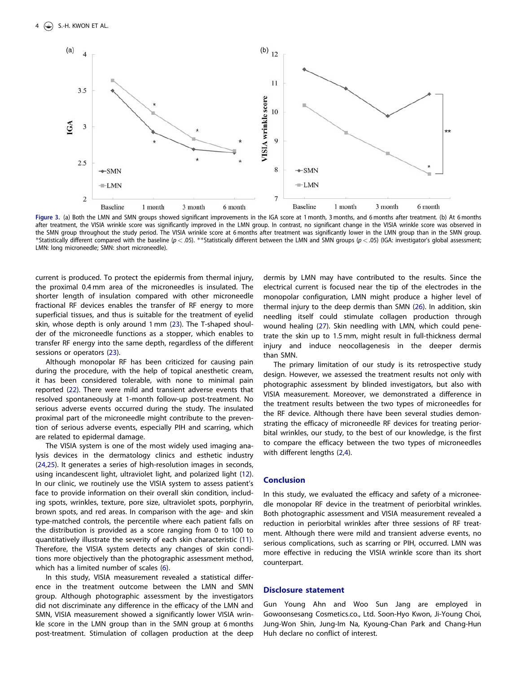<span id="page-4-0"></span>

Figure 3. (a) Both the LMN and SMN groups showed significant improvements in the IGA score at 1 month, 3 months, and 6 months after treatment. (b) At 6 months after treatment, the VISIA wrinkle score was significantly improved in the LMN group. In contrast, no significant change in the VISIA wrinkle score was observed in the SMN group throughout the study period. The VISIA wrinkle score at 6 months after treatment was significantly lower in the LMN group than in the SMN group.  $^*$ Statistically different compared with the baseline (p  $<$  .05).  $^{**}$ Statistically different between the LMN and SMN groups (p  $<$  .05) (IGA: investigator's global assessment; LMN: long microneedle; SMN: short microneedle).

current is produced. To protect the epidermis from thermal injury, the proximal 0.4 mm area of the microneedles is insulated. The shorter length of insulation compared with other microneedle fractional RF devices enables the transfer of RF energy to more superficial tissues, and thus is suitable for the treatment of eyelid skin, whose depth is only around 1 mm ([23\)](#page-5-0). The T-shaped shoulder of the microneedle functions as a stopper, which enables to transfer RF energy into the same depth, regardless of the different sessions or operators [\(23\)](#page-5-0).

Although monopolar RF has been criticized for causing pain during the procedure, with the help of topical anesthetic cream, it has been considered tolerable, with none to minimal pain reported [\(22](#page-5-0)). There were mild and transient adverse events that resolved spontaneously at 1-month follow-up post-treatment. No serious adverse events occurred during the study. The insulated proximal part of the microneedle might contribute to the prevention of serious adverse events, especially PIH and scarring, which are related to epidermal damage.

The VISIA system is one of the most widely used imaging analysis devices in the dermatology clinics and esthetic industry [\(24,25\)](#page-5-0). It generates a series of high-resolution images in seconds, using incandescent light, ultraviolet light, and polarized light [\(12](#page-5-0)). In our clinic, we routinely use the VISIA system to assess patient's face to provide information on their overall skin condition, including spots, wrinkles, texture, pore size, ultraviolet spots, porphyrin, brown spots, and red areas. In comparison with the age- and skin type-matched controls, the percentile where each patient falls on the distribution is provided as a score ranging from 0 to 100 to quantitatively illustrate the severity of each skin characteristic [\(11](#page-5-0)). Therefore, the VISIA system detects any changes of skin conditions more objectively than the photographic assessment method, which has a limited number of scales ([6](#page-5-0)).

In this study, VISIA measurement revealed a statistical difference in the treatment outcome between the LMN and SMN group. Although photographic assessment by the investigators did not discriminate any difference in the efficacy of the LMN and SMN, VISIA measurement showed a significantly lower VISIA wrinkle score in the LMN group than in the SMN group at 6 months post-treatment. Stimulation of collagen production at the deep

dermis by LMN may have contributed to the results. Since the electrical current is focused near the tip of the electrodes in the monopolar configuration, LMN might produce a higher level of thermal injury to the deep dermis than SMN [\(26](#page-5-0)). In addition, skin needling itself could stimulate collagen production through wound healing ([27](#page-5-0)). Skin needling with LMN, which could penetrate the skin up to 1.5 mm, might result in full-thickness dermal injury and induce neocollagenesis in the deeper dermis than SMN.

The primary limitation of our study is its retrospective study design. However, we assessed the treatment results not only with photographic assessment by blinded investigators, but also with VISIA measurement. Moreover, we demonstrated a difference in the treatment results between the two types of microneedles for the RF device. Although there have been several studies demonstrating the efficacy of microneedle RF devices for treating periorbital wrinkles, our study, to the best of our knowledge, is the first to compare the efficacy between the two types of microneedles with different lengths ([2,4\)](#page-5-0).

#### Conclusion

In this study, we evaluated the efficacy and safety of a microneedle monopolar RF device in the treatment of periorbital wrinkles. Both photographic assessment and VISIA measurement revealed a reduction in periorbital wrinkles after three sessions of RF treatment. Although there were mild and transient adverse events, no serious complications, such as scarring or PIH, occurred. LMN was more effective in reducing the VISIA wrinkle score than its short counterpart.

#### Disclosure statement

Gun Young Ahn and Woo Sun Jang are employed in Gowoonsesang Cosmetics.co., Ltd. Soon-Hyo Kwon, Ji-Young Choi, Jung-Won Shin, Jung-Im Na, Kyoung-Chan Park and Chang-Hun Huh declare no conflict of interest.